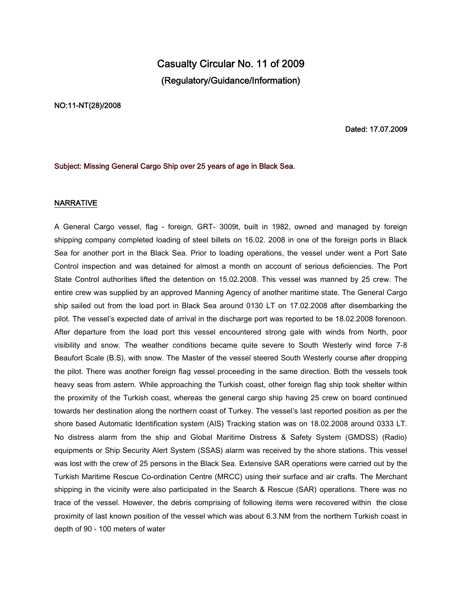# **Casualty Circular No. 11 of 2009 (Regulatory/Guidance/Information)**

#### **NO:11-NT(28)/2008**

### **Dated: 17.07.2009**

## **Subject: Missing General Cargo Ship over 25 years of age in Black Sea.**

## **NARRATIVE**

A General Cargo vessel, flag - foreign, GRT- 3009t, built in 1982, owned and managed by foreign shipping company completed loading of steel billets on 16.02. 2008 in one of the foreign ports in Black Sea for another port in the Black Sea. Prior to loading operations, the vessel under went a Port Sate Control inspection and was detained for almost a month on account of serious deficiencies. The Port State Control authorities lifted the detention on 15.02.2008. This vessel was manned by 25 crew. The entire crew was supplied by an approved Manning Agency of another maritime state. The General Cargo ship sailed out from the load port in Black Sea around 0130 LT on 17.02.2008 after disembarking the pilot. The vessel's expected date of arrival in the discharge port was reported to be 18.02.2008 forenoon. After departure from the load port this vessel encountered strong gale with winds from North, poor visibility and snow. The weather conditions became quite severe to South Westerly wind force 7-8 Beaufort Scale (B.S), with snow. The Master of the vessel steered South Westerly course after dropping the pilot. There was another foreign flag vessel proceeding in the same direction. Both the vessels took heavy seas from astern. While approaching the Turkish coast, other foreign flag ship took shelter within the proximity of the Turkish coast, whereas the general cargo ship having 25 crew on board continued towards her destination along the northern coast of Turkey. The vessel's last reported position as per the shore based Automatic Identification system (AIS) Tracking station was on 18.02.2008 around 0333 LT. No distress alarm from the ship and Global Maritime Distress & Safety System (GMDSS) (Radio) equipments or Ship Security Alert System (SSAS) alarm was received by the shore stations. This vessel was lost with the crew of 25 persons in the Black Sea. Extensive SAR operations were carried out by the Turkish Maritime Rescue Co-ordination Centre (MRCC) using their surface and air crafts. The Merchant shipping in the vicinity were also participated in the Search & Rescue (SAR) operations. There was no trace of the vessel. However, the debris comprising of following items were recovered within the close proximity of last known position of the vessel which was about 6.3.NM from the northern Turkish coast in depth of 90 - 100 meters of water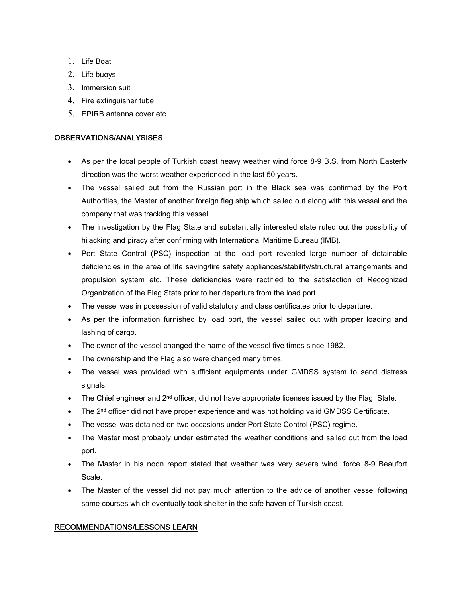- 1. Life Boat
- 2. Life buoys
- 3. Immersion suit
- 4. Fire extinguisher tube
- 5. EPIRB antenna cover etc.

# **OBSERVATIONS/ANALYSISES**

- As per the local people of Turkish coast heavy weather wind force 8-9 B.S. from North Easterly direction was the worst weather experienced in the last 50 years.
- The vessel sailed out from the Russian port in the Black sea was confirmed by the Port Authorities, the Master of another foreign flag ship which sailed out along with this vessel and the company that was tracking this vessel.
- The investigation by the Flag State and substantially interested state ruled out the possibility of hijacking and piracy after confirming with International Maritime Bureau (IMB).
- Port State Control (PSC) inspection at the load port revealed large number of detainable deficiencies in the area of life saving/fire safety appliances/stability/structural arrangements and propulsion system etc. These deficiencies were rectified to the satisfaction of Recognized Organization of the Flag State prior to her departure from the load port.
- The vessel was in possession of valid statutory and class certificates prior to departure.
- As per the information furnished by load port, the vessel sailed out with proper loading and lashing of cargo.
- The owner of the vessel changed the name of the vessel five times since 1982.
- The ownership and the Flag also were changed many times.
- The vessel was provided with sufficient equipments under GMDSS system to send distress signals.
- The Chief engineer and  $2^{nd}$  officer, did not have appropriate licenses issued by the Flag State.
- The 2<sup>nd</sup> officer did not have proper experience and was not holding valid GMDSS Certificate.
- The vessel was detained on two occasions under Port State Control (PSC) regime.
- The Master most probably under estimated the weather conditions and sailed out from the load port.
- The Master in his noon report stated that weather was very severe wind force 8-9 Beaufort Scale.
- The Master of the vessel did not pay much attention to the advice of another vessel following same courses which eventually took shelter in the safe haven of Turkish coast.

# **RECOMMENDATIONS/LESSONS LEARN**